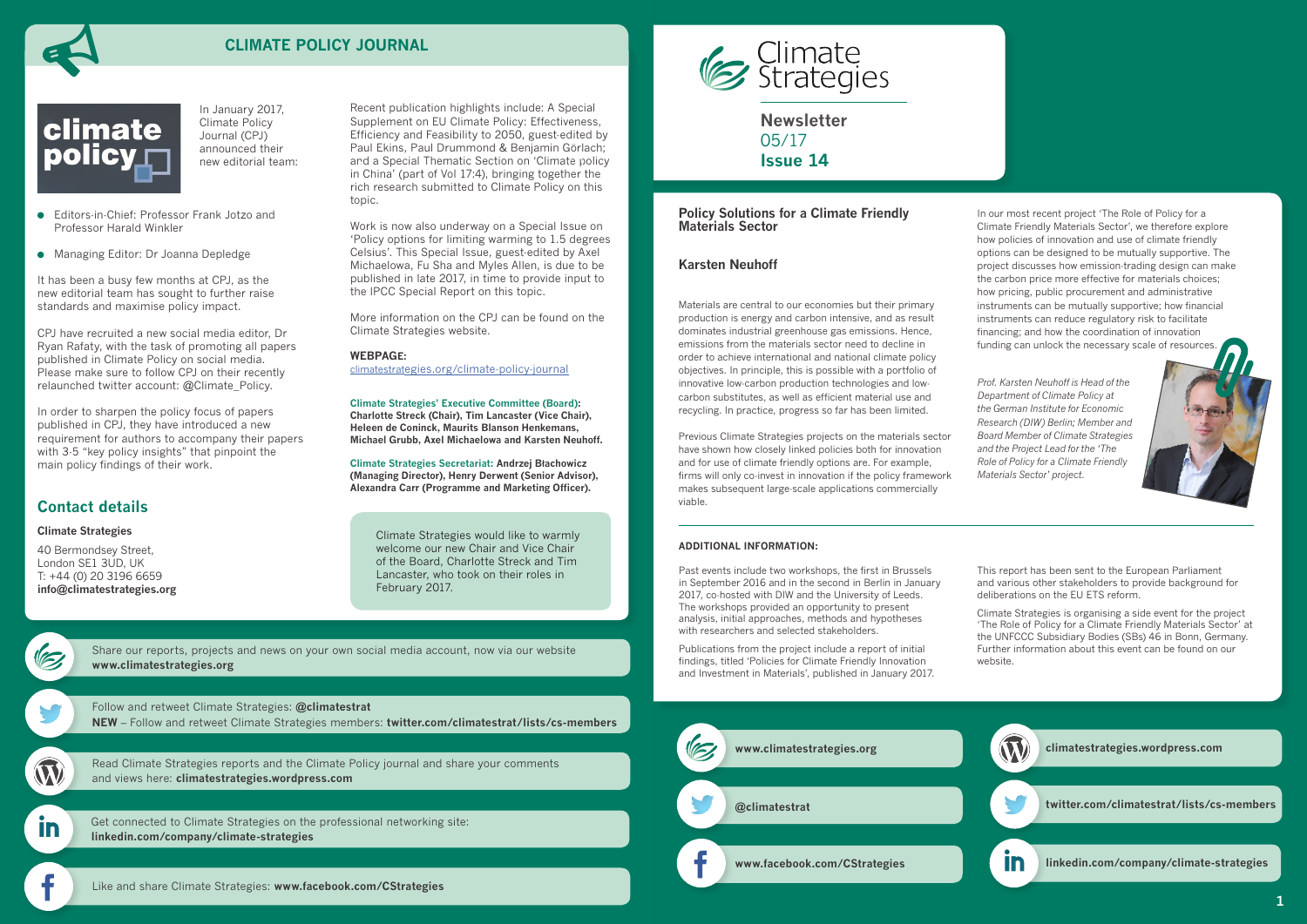**Newsletter** 05/17 **Issue 14**



# **CLIMATE POLICY JOURNAL**



# **Contact details**

#### **Climate Strategies**

40 Bermondsey Street, London SE1 3UD, UK T: +44 (0) 20 3196 6659 **[info@climatestrategies.org](mailto:info%40climatestrategies.org?subject=)**

Follow and retweet Climate Strategies: **[@climatestrat](https://twitter.com/climatestrat)**

**NEW** [– Follow and retweet Climate Strategies members:](twitter.com/climatestrat) **[twitter.com/climatestrat/lists/cs-members](https://twitter.com/climatestrat/lists/cs-members)**

In

[Get connected to Climate Strategies on the professional networking site:](linkedin.com/company/climate-strategies)  **[linkedin.com/company/climate-strategies](http://linkedin.com/company/climate-strategies)**

[Read Climate Strategies reports and the Climate Policy journal and share your comments](http://climatestrategies.wordpress.com/)  and views here: **[climatestrategies.wordpress.com](http://climatestrategies.wordpress.com/)**

[Share our reports, projects and news on your own social media account, now via our website](http://www.climatestrategies.org/about-us/newsletter-archive) **[www.climatestrategies.org](http://www.climatestrategies.org)**

Recent publication highlights include: A Special Supplement on EU Climate Policy: Effectiveness, Efficiency and Feasibility to 2050, guest-edited by Paul Ekins, Paul Drummond & Benjamin Görlach; and a Special Thematic Section on 'Climate policy in China' (part of Vol 17:4), bringing together the rich research submitted to Climate Policy on this topic.

Work is now also underway on a Special Issue on 'Policy options for limiting warming to 1.5 degrees Celsius'. This Special Issue, guest-edited by Axel Michaelowa, Fu Sha and Myles Allen, is due to be published in late 2017, in time to provide input to the IPCC Special Report on this topic.

In our most recent project 'The Role of Policy for a Climate Friendly Materials Sector', we therefore explore how policies of innovation and use of climate friendly options can be designed to be mutually supportive. The project discusses how emission-trading design can make the carbon price more effective for materials choices; how pricing, public procurement and administrative instruments can be mutually supportive; how financial instruments can reduce regulatory risk to facilitate financing; and how the coordination of innovation funding can unlock the necessary scale of resources



More information on the CPJ can be found on the Climate Strategies website.

#### **WEBPAGE:**

[climatestrategies.org/climate-policy-journa](http://climatestrategies.org/climate-policy-journal/)l

**Climate Strategies' Executive Committee (Board): Charlotte Streck (Chair), Tim Lancaster (Vice Chair), Heleen de Coninck, Maurits Blanson Henkemans, Michael Grubb, Axel Michaelowa and Karsten Neuhoff.**

**Climate Strategies Secretariat: Andrzej Błachowicz (Managing Director), Henry Derwent (Senior Advisor), Alexandra Carr (Programme and Marketing Officer).**

### **Policy Solutions for a Climate Friendly Materials Sector**

### **Karsten Neuhoff**

Materials are central to our economies but their primary production is energy and carbon intensive, and as result dominates industrial greenhouse gas emissions. Hence, emissions from the materials sector need to decline in order to achieve international and national climate policy objectives. In principle, this is possible with a portfolio of innovative low-carbon production technologies and lowcarbon substitutes, as well as efficient material use and recycling. In practice, progress so far has been limited.

Previous Climate Strategies projects on the materials sector have shown how closely linked policies both for innovation and for use of climate friendly options are. For example, firms will only co-invest in innovation if the policy framework makes subsequent large-scale applications commercially viable.



#### **ADDITIONAL INFORMATION:**

Past events include two workshops, the first in Brussels in September 2016 and in the second in Berlin in January 2017, co-hosted with DIW and the University of Leeds. The workshops provided an opportunity to present analysis, initial approaches, methods and hypotheses with researchers and selected stakeholders.

Publications from the project include a report of initial findings, titled 'Policies for Climate Friendly Innovation and Investment in Materials', published in January 2017. This report has been sent to the European Parliament and various other stakeholders to provide background for deliberations on the EU ETS reform.

Climate Strategies is organising a side event for the project 'The Role of Policy for a Climate Friendly Materials Sector' at the UNFCCC Subsidiary Bodies (SBs) 46 in Bonn, Germany. Further information about this event can be found on our website.

In January 2017, Climate Policy Journal (CPJ) announced their new editorial team:

 Editors-in-Chief: Professor Frank Jotzo and Professor Harald Winkler

Managing Editor: Dr Joanna Depledge

It has been a busy few months at CPJ, as the new editorial team has sought to further raise standards and maximise policy impact.

CPJ have recruited a new social media editor, Dr Ryan Rafaty, with the task of promoting all papers published in Climate Policy on social media. Please make sure to follow CPJ on their recently relaunched twitter account: @Climate\_Policy.

In order to sharpen the policy focus of papers published in CPJ, they have introduced a new requirement for authors to accompany their papers with 3-5 "key policy insights" that pinpoint the main policy findings of their work.

### [Like and share Climate Strategies:](twitter.com/climatestrat) **[www.facebook.com/CStrategies](https://www.facebook.com/CStrategies/)**



*Prof. Karsten Neuhoff is Head of the Department of Climate Policy at the German Institute for Economic Research (DIW) Berlin; Member and Board Member of Climate Strategies and the Project Lead for the 'The Role of Policy for a Climate Friendly Materials Sector' project.*

Climate Strategies would like to warmly welcome our new Chair and Vice Chair of the Board, Charlotte Streck and Tim Lancaster, who took on their roles in February 2017.